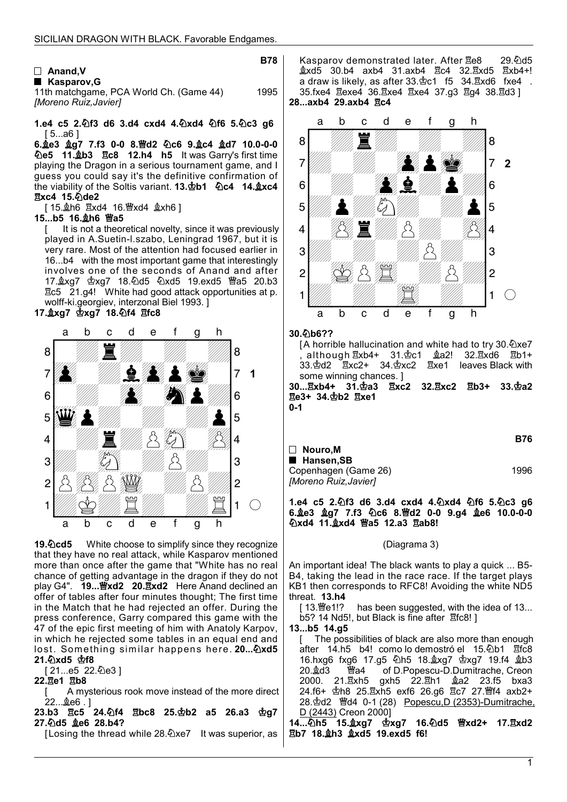## □ Anand, V ■ Kasparov, G

**B78** 

11th matchgame, PCA World Ch. (Game 44) 1995 [Moreno Ruiz,Javier]

1.e4 c5 2. hf3 d6 3.d4 cxd4 4. hxd4 4f6 5. hc3 g6 [ 5...a6 ]

6.  $Q_0$   $Q_1$   $Q_2$   $Q_3$   $Q_4$   $Q_5$   $Q_6$   $Q_7$   $Q_8$   $Q_7$   $Q_8$   $Q_9$   $Q_9$   $Q_9$   $Q_9$   $Q_9$   $Q_9$   $Q_9$   $Q_9$   $Q_9$   $Q_9$   $Q_9$   $Q_9$   $Q_9$   $Q_9$   $Q_9$   $Q_9$   $Q_9$   $Q_9$   $Q_9$   $Q_9$   $Q_9$   $Q_9$   $Q_9$   $Q_9$   $Q_9$   $Q$ **心e5 11. b3 km2c8 12.h4 h5 It was Garry's first time** playing the Dragon in a serious tournament game, and I guess you could say it's the definitive confirmation of the viability of the Soltis variant. 13. $\Phi$ b1  $\Phi$ c4 14. $\Delta x$ c4 **Exc4 15. ode2** 

[ 15. gh6 Exd4 16. axd4 gxh6 ]

## 15...b5 16. oh6 窗a5

[ It is not a theoretical novelty, since it was previously played in A.Suetin-l.szabo, Leningrad 1967, but it is very rare. Most of the attention had focused earlier in 16...b4 with the most important game that interestingly involves one of the seconds of Anand and after 17.xg7 xg7 18.d5 xd5 19.exd5 a5 20.b3 c5 21.g4! White had good attack opportunities at p. wolff-ki.georgiev, interzonal Biel 1993. ]

# 17. xg7  $\Phi$ xg7 18.  $\Phi$ f4  $\Xi$ fc8



19. Ocd5 White choose to simplify since they recognize that they have no real attack, while Kasparov mentioned more than once after the game that "White has no real chance of getting advantage in the dragon if they do not play G4".  $19...$   $\frac{10}{2}$  xd2 20.  $\frac{1}{2}$ xd2 Here Anand declined an offer of tables after four minutes thought; The first time in the Match that he had rejected an offer. During the press conference, Garry compared this game with the 47 of the epic first meeting of him with Anatoly Karpov, in which he rejected some tables in an equal end and lost. Something similar happens here. 20... 2xd5 21.2xd5 空f8

### [ 21...e5 22.2e3 ]

### 22. Be1 Bb8

A mysterious rook move instead of the more direct 22...奠e6 . ]

23.b3 且c5 24.4f4 且bc8 25. b2 a5 26.a3 \$g7 27. d5 ge6 28.b4?

[Losing the thread while 28.2xe7 It was superior, as

Kasparov demonstrated later. After <sub>Ee8</sub> 29.0d5 xd5 30.b4 axb4 31.axb4 c4 32.xd5 xb4+! a draw is likely, as after  $33.\&c1$  f5  $34.\&xd6$  fxe4. 35.fxe4 Eexe4 36.Exe4 Exe4 37.g3 Eg4 38.Ed3 ] 28...axb4 29.axb4 **Rc4** 



30.b6??

[A horrible hallucination and white had to try 30. $\&$ xe7 , although xb4+ 31.c1 a2! 32.xd6 b1+ 33. gd2 Exc2+ 34. gxc2 Exe1 leaves Black with some winning chances. ]

30... kxb4+ 31. 空a3 Exc2 32. kxc2 Eb3+ 33. 空a2 **Ee3+ 34. b2 Exe1** 0-1

|                       | B76  |
|-----------------------|------|
| $\Box$ Nouro.M        |      |
| ■ Hansen.SB           |      |
| Copenhagen (Game 26)  | 1996 |
| [Moreno Ruiz, Javier] |      |

1.e4 c5 2. $\Phi$ f3 d6 3.d4 cxd4 4. $\Phi$ xd4  $\Phi$ f6 5. $\Phi$ c3 g6 6. e3  $\frac{6}{2}$ g7 7.f3  $\frac{6}{2}$ c6 8. Fd2 0-0 9.g4  $\frac{6}{2}$ e6 10.0-0-0 公xd4 11. xd4 曾a5 12.a3 且ab8!

### (Diagrama 3)

An important idea! The black wants to play a quick ... B5- B4, taking the lead in the race race. If the target plays KB1 then corresponds to RFC8! Avoiding the white ND5 threat. 13.h4

[13. $\mathcal{W}$ e1!? has been suggested, with the idea of 13... b5? 14 Nd5!, but Black is fine after  $\overline{2}$ fc8! ]

### 13...b5 14.g5

[ The possibilities of black are also more than enough after 14.h5 b4! como lo demostró el 15. lb1 hfc8 16.hxg6 fxg6 17.g5 h5 18.xg7 xg7 19.f4 b3 of D.Popescu-D.Dumitrache, Creon 2000. 21. xh5 gxh5 22. xh1 & a2 23. f5 bxa3 24.f6+ Φh8 25. Exh5 exf6 26.g6 Ec7 27. Mf4 axb2+ 28.d2 d4 0-1 (28) Popescu,D (2353)-Dumitrache, D (2443) Creon 2000]

14...处h5 15.盒xg7 杏xg7 16.处d5 曾xd2+ 17.且xd2 Eb7 18. h3 \$xd5 19.exd5 f6!